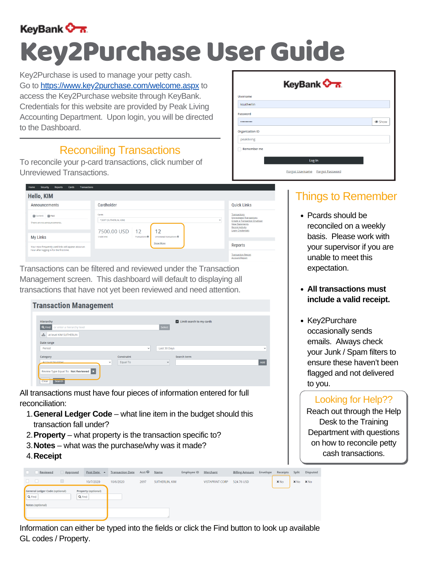

Reports Cards

# Key2Purchase User Guide

### Looking for Help??

- **General Ledger Code** what line item in the budget should this 1. transaction fall under?
- **Property** what property is the transaction specific to? 2.
- **Notes** what was the purchase/why was it made? 3.
- **4. Receipt**

| Reviewed                                                     | <u>Approved</u> | Post Date $\triangle$      | <b>Transaction Date</b> | Acct $\bullet$ | <b>Name</b>    | Employee ID | <u>Merchant</u>        | <b>Billing Amount</b> | Envelope | Receipts    | Split       | Disputed    |
|--------------------------------------------------------------|-----------------|----------------------------|-------------------------|----------------|----------------|-------------|------------------------|-----------------------|----------|-------------|-------------|-------------|
| $\Box$<br>$\Box$                                             | $\Box$          | 10/7/2020                  | 10/6/2020               | 2697           | SUTHERLIN, KIM |             | <b>VISTAPRINT CORP</b> | 524.76 USD            |          | $\times$ No | $\times$ No | $\times$ No |
| General Ledger Code (optional)<br>Q Find<br>Notes (optional) | Q Find          | <b>Property (optional)</b> |                         |                |                |             |                        |                       |          |             |             |             |
|                                                              |                 |                            |                         |                |                |             |                        |                       |          |             |             |             |

Reach out through the Help Desk to the Training Department with questions on how to reconcile petty cash transactions.

- Pcards should be reconciled on a weekly basis. Please work with your supervisor if you are unable to meet this expectation.
- **All transactions must**

#### **Transaction Management** Limit search to my cards Hierarchy Q Find or enter a hierarchy leve  $\mathbf{A}$  at level KIM SUTHERLIN Date range Period Last 30 Days Category Constraint Search term Add Equal To  $\checkmark$ Review Type Equal To: Not Reviewed X Clear Search

• Key2Purchare occasionally sends emails. Always check your Junk / Spam filters to ensure these haven't been flagged and not delivered to you.

All transactions must have four pieces of information entered for full reconciliation:

#### **include a valid receipt.**

Key2Purchase is used to manage your petty cash. Go to https://www.key2purchase.com/welcome.aspx to access the Key2Purchase website through KeyBank. Credentials for this website are provided by Peak Living Accounting Department. Upon login, you will be directed to the Dashboard.

Transactions can be filtered and reviewed under the Transaction Management screen. This dashboard will default to displaying all transactions that have not yet been reviewed and need attention.

To reconcile your p-card transactions, click number of Unreviewed Transactions.

|                        | KeyBank <b>On</b>               |        |
|------------------------|---------------------------------|--------|
| Username               |                                 |        |
| ksutherlin             |                                 |        |
| Password               |                                 |        |
|                        |                                 | Show S |
| <b>Organization ID</b> |                                 |        |
| peakliving             |                                 |        |
| Remember me            |                                 |        |
|                        | Log In                          |        |
|                        |                                 |        |
|                        | Forgot Username Forgot Password |        |

| <b>Hello, KIM</b>                                    |                                  |                                    |                                       |             |                                                                                                                  |
|------------------------------------------------------|----------------------------------|------------------------------------|---------------------------------------|-------------|------------------------------------------------------------------------------------------------------------------|
| Announcements                                        | Cardholder                       |                                    |                                       |             | <b>Quick Links</b>                                                                                               |
| o Current o Past<br>There are no announcements.      | Cards<br>*2697 (SUTHERLIN, KIM)  |                                    |                                       | $\check{ }$ | <b>Transactions</b><br><b>Unreviewed Transactions</b><br>Create a Transaction Envelope<br><b>View Statements</b> |
| <b>My Links</b>                                      | 7500.00 USD   12<br>Credit limit | Transactions $\boldsymbol{\Theta}$ | 12<br>Unreviewed transactions $\odot$ |             | <b>Recent Activity</b><br><b>Login Credentials</b>                                                               |
| Your most frequently used links will appear about an |                                  |                                    | <b>Show More</b>                      |             | Reports                                                                                                          |
| hour after logging in for the first time.            |                                  |                                    |                                       |             | <b>Transaction Report</b><br><b>Account Report</b>                                                               |

### Reconciling Transactions

### Things to Remember

Information can either be typed into the fields or click the Find button to look up available GL codes / Property.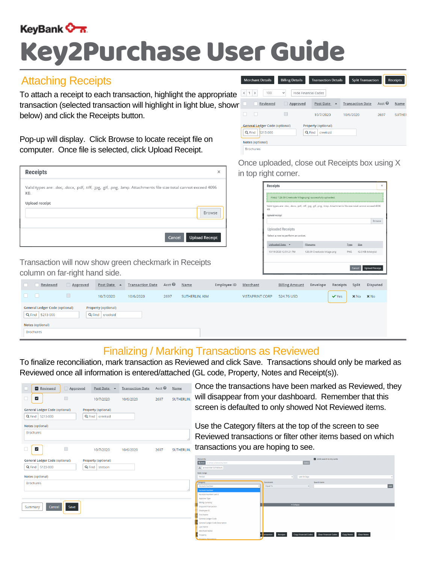

## Key2Purchase User Guide

Pop-up will display. Click Browse to locate receipt file on computer. Once file is selected, click Upload Receipt.

| <b>Receipts</b>                                                                                                          | × |
|--------------------------------------------------------------------------------------------------------------------------|---|
| Valid types are: .doc, .docx, .pdf, .tiff, .jpg, .gif, .png, .bmp. Attachments file size total cannot exceed 4096<br>KB. |   |
| Upload receipt<br>Browse                                                                                                 |   |
| <b>Upload Receipt</b><br>Cancel                                                                                          |   |

To attach a receipt to each transaction, highlight the appropriate transaction (selected transaction will highlight in light blue, shown below) and click the Receipts button.

> Once the transactions have been marked as Reviewed, they will disappear from your dashboard. Remember that this screen is defaulted to only showed Not Reviewed items.

Use the Category filters at the top of the screen to see Reviewed transactions or filter other items based on which transactions you are hoping to see.

|   | Hierarchy                                           |                        |                             | $\blacktriangleright$ Limit search to my cards |                                         |             |
|---|-----------------------------------------------------|------------------------|-----------------------------|------------------------------------------------|-----------------------------------------|-------------|
|   | Q Find or enter a hierarchy level                   |                        | Select                      |                                                |                                         |             |
|   | $\mathbf{A}$ at level KIM SUTHERLIN                 |                        |                             |                                                |                                         |             |
|   | Date range                                          |                        |                             |                                                |                                         |             |
|   | Period                                              | $\checkmark$           | Last 30 Days                |                                                |                                         | $\check{~}$ |
|   | Category                                            | Constraint             |                             | Search term                                    |                                         |             |
|   | <b>Account Number</b>                               | Equal To               | $\checkmark$                |                                                |                                         | Add         |
| ∥ | <b>Account Number</b>                               |                        |                             |                                                |                                         |             |
|   | <b>Account Number Last 4</b>                        |                        |                             |                                                |                                         |             |
|   | Approve Type                                        |                        |                             |                                                |                                         |             |
|   | <b>Billing Currency</b>                             |                        |                             |                                                |                                         |             |
|   | <b>Disputed Transaction</b>                         |                        | $\sim$ Collapse             |                                                |                                         |             |
|   | Employee ID                                         |                        |                             |                                                |                                         |             |
|   | <b>First Name</b>                                   |                        |                             |                                                |                                         |             |
|   | General Ledger Code                                 |                        |                             |                                                |                                         |             |
|   | $\vert$ S<br><b>General Ledger Code Description</b> |                        |                             |                                                |                                         |             |
|   | <b>Last Name</b>                                    |                        |                             |                                                |                                         |             |
|   | <b>Merchant Name</b>                                |                        |                             |                                                |                                         |             |
|   | <b>it</b><br>Property                               | Receipts<br>ransaction | <b>Copy Financial Codes</b> | <b>Clear Financial Codes</b>                   | <b>Clear Notes</b><br><b>Copy Notes</b> |             |

To finalize reconciliation, mark transaction as Reviewed and click Save. Transactions should only be marked as Reviewed once all information is entered/attached (GL code, Property, Notes and Receipt(s)).

| Reviewed                               | Approved | Post Date 4         | <b>Transaction Date</b> | Acct <sup><sup>O</sup></sup> | Name       |
|----------------------------------------|----------|---------------------|-------------------------|------------------------------|------------|
| $\blacktriangledown$                   |          | 10/7/2020           | 10/6/2020               | 2697                         | SUTHERLIN, |
| <b>General Ledger Code (optional)</b>  |          | Property (optional) |                         |                              |            |
| Q Find<br>5213-000<br>Notes (optional) | Q Find   | creeksid            |                         |                              |            |
| <b>Brochures</b>                       |          |                     |                         |                              |            |
| $\vert\textbf{v}\vert$                 |          | 10/7/2020           | 10/6/2020               | 2697                         | SUTHERLIN, |
| <b>General Ledger Code (optional)</b>  |          | Property (optional) |                         |                              |            |
| Q Find<br>5123-000                     | Q Find   | stetson             |                         |                              |            |
| Notes (optional)                       |          |                     |                         |                              |            |
| <b>Brochures</b>                       |          |                     |                         |                              | 4          |
| Cancel<br>Summary                      | Save     |                     |                         |                              |            |

Once uploaded, close out Receipts box using X in top right corner.

| <b>Receipts</b>                                                |                                                                                                                   |             |                                 | ×      |
|----------------------------------------------------------------|-------------------------------------------------------------------------------------------------------------------|-------------|---------------------------------|--------|
|                                                                | File(s) '126.09 Creekside Village.png' successfully uploaded.                                                     |             |                                 |        |
| KB.                                                            | Valid types are: .doc, .docx, .pdf, .tiff, .jpg, .gif, .png, .bmp. Attachments file size total cannot exceed 4096 |             |                                 |        |
| Upload receipt                                                 |                                                                                                                   |             |                                 |        |
|                                                                |                                                                                                                   |             |                                 | Browse |
| <b>Uploaded Receipts</b><br>Select a row to perform an action. |                                                                                                                   |             |                                 |        |
|                                                                |                                                                                                                   |             |                                 |        |
| Uploaded Date v                                                | Filename                                                                                                          | <u>Type</u> | Size                            |        |
| 10/19/2020 12:51:21 PM                                         | 126.09 Creekside Village.png                                                                                      | <b>PNG</b>  | 42.0 KB (kilobyte)              |        |
|                                                                |                                                                                                                   |             |                                 |        |
|                                                                |                                                                                                                   |             | <b>Upload Receipt</b><br>Cancel |        |

<u>Post Date</u> ▲ Transaction Date Acct ● Reviewed Approved Name Employee ID Merchant **Billing Amount** Envelope Receipts Split Disputed

|                                                          | 10/7/2020                                | 10/6/2020 | 2697 | SUTHERLIN, KIM | <b>VISTAPRINT CORP</b> | 524.76 USD | $\vee$ Yes | $X$ No | $\times$ No |
|----------------------------------------------------------|------------------------------------------|-----------|------|----------------|------------------------|------------|------------|--------|-------------|
| <b>General Ledger Code (optional)</b><br>Q Find 5213-000 | Property (optional)<br>Q Find   creeksid |           |      |                |                        |            |            |        |             |
| Notes (optional)                                         |                                          |           |      |                |                        |            |            |        |             |
| Brochures                                                |                                          |           |      |                |                        |            |            |        |             |

### Attaching Receipts

Transaction will now show green checkmark in Receipts column on far-right hand side.



### Finalizing / Marking Transactions as Reviewed